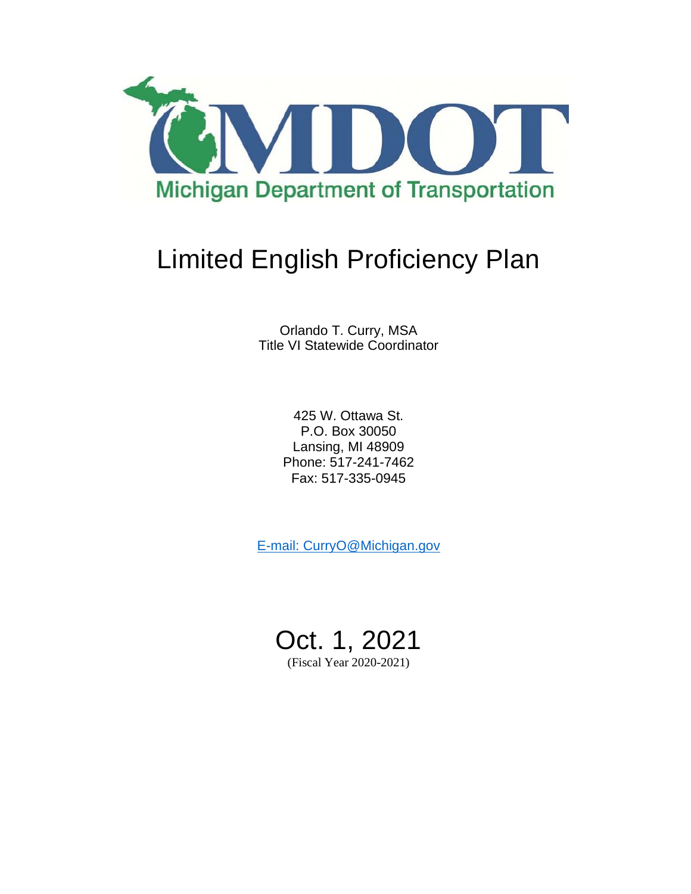

# Limited English Proficiency Plan

Orlando T. Curry, MSA Title VI Statewide Coordinator

> 425 W. Ottawa St. P.O. Box 30050 Lansing, MI 48909 Phone: 517-241-7462 Fax: 517-335-0945

E-mail: CurryO@Michigan.gov

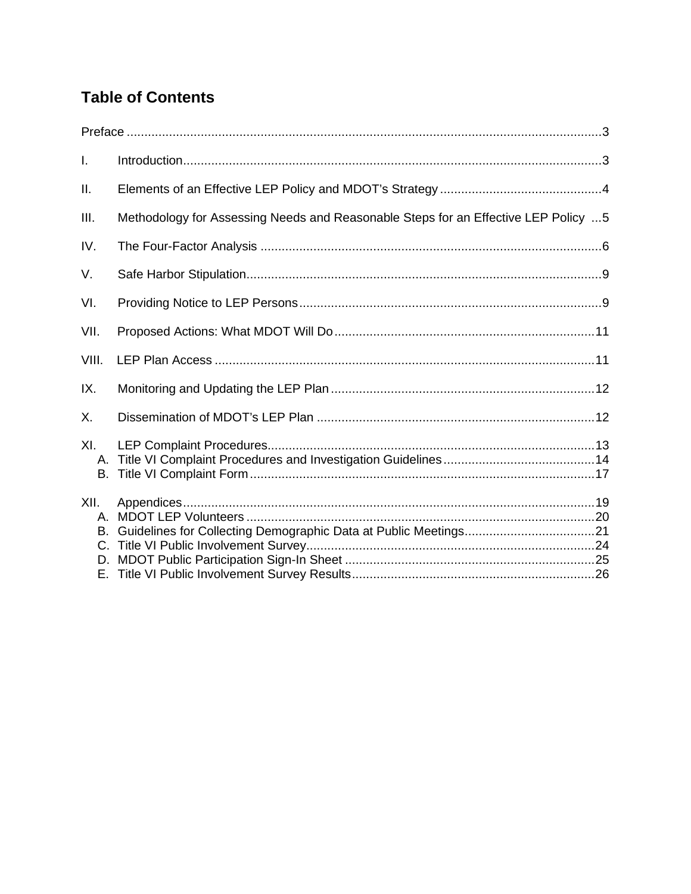## **Table of Contents**

| I.                           |                                                                                    |  |
|------------------------------|------------------------------------------------------------------------------------|--|
| ΙΙ.                          |                                                                                    |  |
| III.                         | Methodology for Assessing Needs and Reasonable Steps for an Effective LEP Policy 5 |  |
| IV.                          |                                                                                    |  |
| V.                           |                                                                                    |  |
| VI.                          |                                                                                    |  |
| VII.                         |                                                                                    |  |
| VIII.                        |                                                                                    |  |
| IX.                          |                                                                                    |  |
| Χ.                           |                                                                                    |  |
| XI.<br>В.                    |                                                                                    |  |
| XII.<br>А.<br>В.<br>C.<br>D. |                                                                                    |  |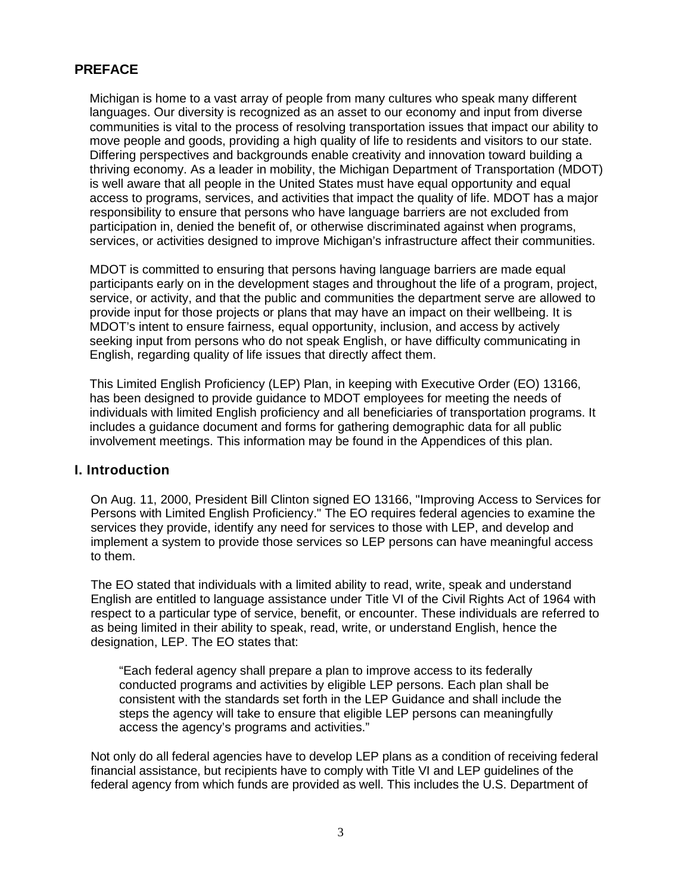### **PREFACE**

Michigan is home to a vast array of people from many cultures who speak many different languages. Our diversity is recognized as an asset to our economy and input from diverse communities is vital to the process of resolving transportation issues that impact our ability to move people and goods, providing a high quality of life to residents and visitors to our state. Differing perspectives and backgrounds enable creativity and innovation toward building a thriving economy. As a leader in mobility, the Michigan Department of Transportation (MDOT) is well aware that all people in the United States must have equal opportunity and equal access to programs, services, and activities that impact the quality of life. MDOT has a major responsibility to ensure that persons who have language barriers are not excluded from participation in, denied the benefit of, or otherwise discriminated against when programs, services, or activities designed to improve Michigan's infrastructure affect their communities.

MDOT is committed to ensuring that persons having language barriers are made equal participants early on in the development stages and throughout the life of a program, project, service, or activity, and that the public and communities the department serve are allowed to provide input for those projects or plans that may have an impact on their wellbeing. It is MDOT's intent to ensure fairness, equal opportunity, inclusion, and access by actively seeking input from persons who do not speak English, or have difficulty communicating in English, regarding quality of life issues that directly affect them.

This Limited English Proficiency (LEP) Plan, in keeping with Executive Order (EO) 13166, has been designed to provide guidance to MDOT employees for meeting the needs of individuals with limited English proficiency and all beneficiaries of transportation programs. It includes a guidance document and forms for gathering demographic data for all public involvement meetings. This information may be found in the Appendices of this plan.

### **I. Introduction**

On Aug. 11, 2000, President Bill Clinton signed EO 13166, "Improving Access to Services for Persons with Limited English Proficiency." The EO requires federal agencies to examine the services they provide, identify any need for services to those with LEP, and develop and implement a system to provide those services so LEP persons can have meaningful access to them.

The EO stated that individuals with a limited ability to read, write, speak and understand English are entitled to language assistance under Title VI of the Civil Rights Act of 1964 with respect to a particular type of service, benefit, or encounter. These individuals are referred to as being limited in their ability to speak, read, write, or understand English, hence the designation, LEP. The EO states that:

"Each federal agency shall prepare a plan to improve access to its federally conducted programs and activities by eligible LEP persons. Each plan shall be consistent with the standards set forth in the LEP Guidance and shall include the steps the agency will take to ensure that eligible LEP persons can meaningfully access the agency's programs and activities."

Not only do all federal agencies have to develop LEP plans as a condition of receiving federal financial assistance, but recipients have to comply with Title VI and LEP guidelines of the federal agency from which funds are provided as well. This includes the U.S. Department of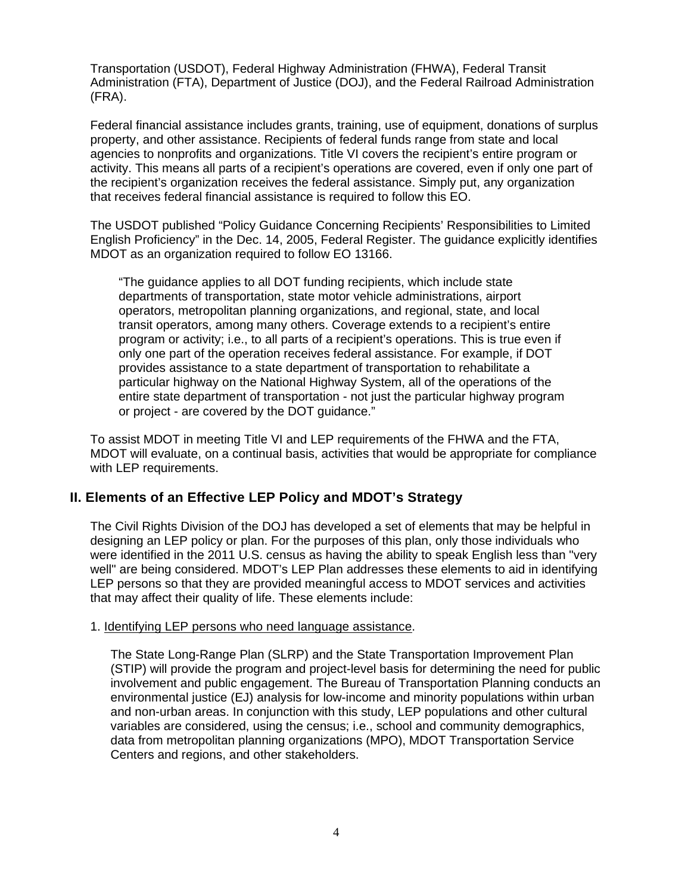Transportation (USDOT), Federal Highway Administration (FHWA), Federal Transit Administration (FTA), Department of Justice (DOJ), and the Federal Railroad Administration (FRA).

Federal financial assistance includes grants, training, use of equipment, donations of surplus property, and other assistance. Recipients of federal funds range from state and local agencies to nonprofits and organizations. Title VI covers the recipient's entire program or activity. This means all parts of a recipient's operations are covered, even if only one part of the recipient's organization receives the federal assistance. Simply put, any organization that receives federal financial assistance is required to follow this EO.

The USDOT published "Policy Guidance Concerning Recipients' Responsibilities to Limited English Proficiency" in the Dec. 14, 2005, Federal Register. The guidance explicitly identifies MDOT as an organization required to follow EO 13166.

"The guidance applies to all DOT funding recipients, which include state departments of transportation, state motor vehicle administrations, airport operators, metropolitan planning organizations, and regional, state, and local transit operators, among many others. Coverage extends to a recipient's entire program or activity; i.e., to all parts of a recipient's operations. This is true even if only one part of the operation receives federal assistance. For example, if DOT provides assistance to a state department of transportation to rehabilitate a particular highway on the National Highway System, all of the operations of the entire state department of transportation - not just the particular highway program or project - are covered by the DOT guidance."

To assist MDOT in meeting Title VI and LEP requirements of the FHWA and the FTA, MDOT will evaluate, on a continual basis, activities that would be appropriate for compliance with LEP requirements.

### **II. Elements of an Effective LEP Policy and MDOT's Strategy**

The Civil Rights Division of the DOJ has developed a set of elements that may be helpful in designing an LEP policy or plan. For the purposes of this plan, only those individuals who were identified in the 2011 U.S. census as having the ability to speak English less than "very well" are being considered. MDOT's LEP Plan addresses these elements to aid in identifying LEP persons so that they are provided meaningful access to MDOT services and activities that may affect their quality of life. These elements include:

### 1. Identifying LEP persons who need language assistance.

The State Long-Range Plan (SLRP) and the State Transportation Improvement Plan (STIP) will provide the program and project-level basis for determining the need for public involvement and public engagement. The Bureau of Transportation Planning conducts an environmental justice (EJ) analysis for low-income and minority populations within urban and non-urban areas. In conjunction with this study, LEP populations and other cultural variables are considered, using the census; i.e., school and community demographics, data from metropolitan planning organizations (MPO), MDOT Transportation Service Centers and regions, and other stakeholders.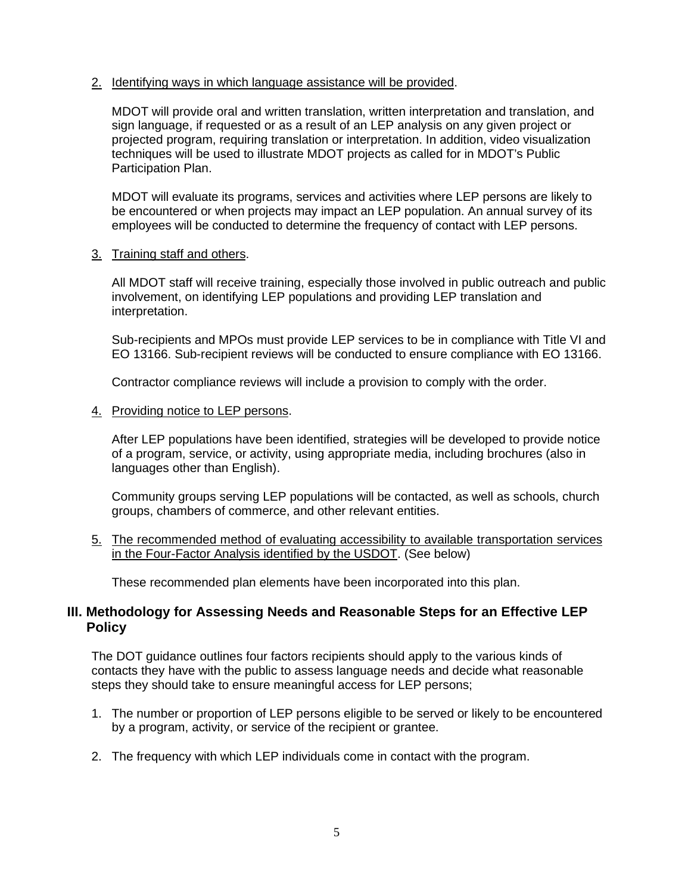### 2. Identifying ways in which language assistance will be provided.

MDOT will provide oral and written translation, written interpretation and translation, and sign language, if requested or as a result of an LEP analysis on any given project or projected program, requiring translation or interpretation. In addition, video visualization techniques will be used to illustrate MDOT projects as called for in MDOT's Public Participation Plan.

MDOT will evaluate its programs, services and activities where LEP persons are likely to be encountered or when projects may impact an LEP population. An annual survey of its employees will be conducted to determine the frequency of contact with LEP persons.

### 3. Training staff and others.

All MDOT staff will receive training, especially those involved in public outreach and public involvement, on identifying LEP populations and providing LEP translation and interpretation.

Sub-recipients and MPOs must provide LEP services to be in compliance with Title VI and EO 13166. Sub-recipient reviews will be conducted to ensure compliance with EO 13166.

Contractor compliance reviews will include a provision to comply with the order.

4. Providing notice to LEP persons.

After LEP populations have been identified, strategies will be developed to provide notice of a program, service, or activity, using appropriate media, including brochures (also in languages other than English).

Community groups serving LEP populations will be contacted, as well as schools, church groups, chambers of commerce, and other relevant entities.

5. The recommended method of evaluating accessibility to available transportation services in the Four-Factor Analysis identified by the USDOT. (See below)

These recommended plan elements have been incorporated into this plan.

### **III. Methodology for Assessing Needs and Reasonable Steps for an Effective LEP Policy**

The DOT guidance outlines four factors recipients should apply to the various kinds of contacts they have with the public to assess language needs and decide what reasonable steps they should take to ensure meaningful access for LEP persons;

- 1. The number or proportion of LEP persons eligible to be served or likely to be encountered by a program, activity, or service of the recipient or grantee.
- 2. The frequency with which LEP individuals come in contact with the program.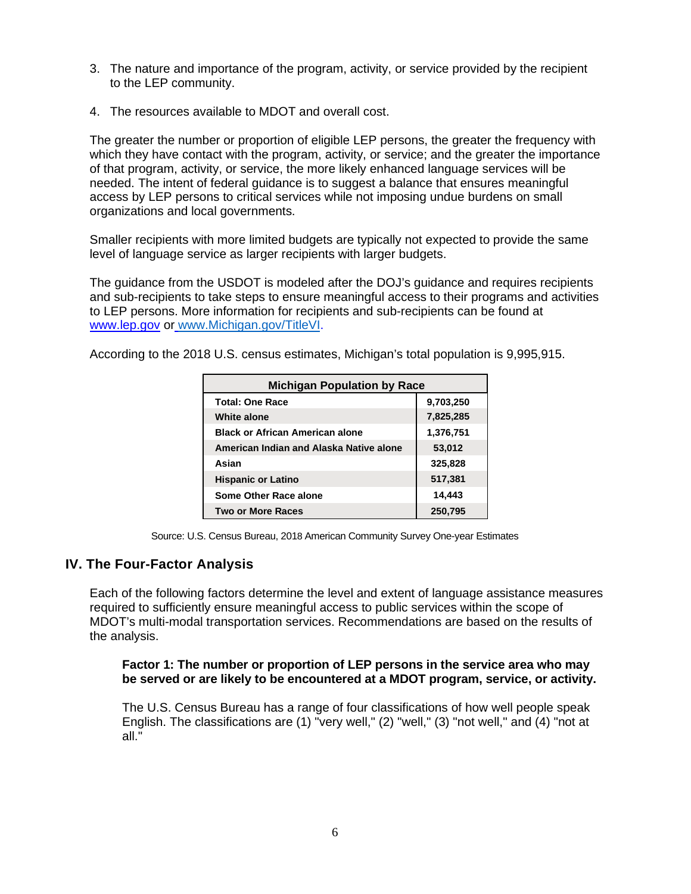- 3. The nature and importance of the program, activity, or service provided by the recipient to the LEP community.
- 4. The resources available to MDOT and overall cost.

The greater the number or proportion of eligible LEP persons, the greater the frequency with which they have contact with the program, activity, or service; and the greater the importance of that program, activity, or service, the more likely enhanced language services will be needed. The intent of federal guidance is to suggest a balance that ensures meaningful access by LEP persons to critical services while not imposing undue burdens on small organizations and local governments.

Smaller recipients with more limited budgets are typically not expected to provide the same level of language service as larger recipients with larger budgets.

The guidance from the USDOT is modeled after the DOJ's guidance and requires recipients and sub-recipients to take steps to ensure meaningful access to their programs and activities to LEP persons. More information for recipients and sub-recipients can be found at www.lep.gov or www.Michigan.gov/TitleVI.

According to the 2018 U.S. census estimates, Michigan's total population is 9,995,915.

| <b>Michigan Population by Race</b>      |           |  |  |  |  |  |  |
|-----------------------------------------|-----------|--|--|--|--|--|--|
| <b>Total: One Race</b>                  | 9,703,250 |  |  |  |  |  |  |
| <b>White alone</b>                      | 7,825,285 |  |  |  |  |  |  |
| <b>Black or African American alone</b>  | 1,376,751 |  |  |  |  |  |  |
| American Indian and Alaska Native alone | 53,012    |  |  |  |  |  |  |
| Asian                                   | 325,828   |  |  |  |  |  |  |
| <b>Hispanic or Latino</b>               | 517,381   |  |  |  |  |  |  |
| Some Other Race alone                   | 14,443    |  |  |  |  |  |  |
| <b>Two or More Races</b>                | 250,795   |  |  |  |  |  |  |

Source: U.S. Census Bureau, 2018 American Community Survey One-year Estimates

### **IV. The Four-Factor Analysis**

Each of the following factors determine the level and extent of language assistance measures required to sufficiently ensure meaningful access to public services within the scope of MDOT's multi-modal transportation services. Recommendations are based on the results of the analysis.

### **Factor 1: The number or proportion of LEP persons in the service area who may be served or are likely to be encountered at a MDOT program, service, or activity.**

The U.S. Census Bureau has a range of four classifications of how well people speak English. The classifications are (1) "very well," (2) "well," (3) "not well," and (4) "not at all."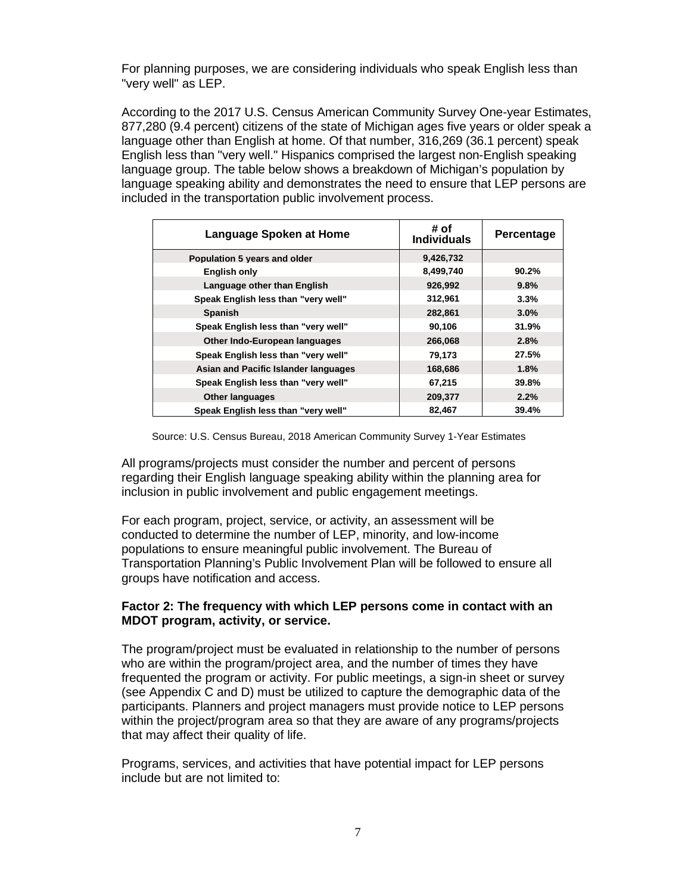For planning purposes, we are considering individuals who speak English less than "very well" as LEP.

According to the 2017 U.S. Census American Community Survey One-year Estimates, 877,280 (9.4 percent) citizens of the state of Michigan ages five years or older speak a language other than English at home. Of that number, 316,269 (36.1 percent) speak English less than "very well." Hispanics comprised the largest non-English speaking language group. The table below shows a breakdown of Michigan's population by language speaking ability and demonstrates the need to ensure that LEP persons are included in the transportation public involvement process.

| <b>Language Spoken at Home</b>       | # of<br><b>Individuals</b> | Percentage |
|--------------------------------------|----------------------------|------------|
| Population 5 years and older         | 9,426,732                  |            |
| <b>English only</b>                  | 8,499,740                  | 90.2%      |
| Language other than English          | 926,992                    | 9.8%       |
| Speak English less than "very well"  | 312,961                    | 3.3%       |
| <b>Spanish</b>                       | 282,861                    | $3.0\%$    |
| Speak English less than "very well"  | 90,106                     | 31.9%      |
| Other Indo-European languages        | 266,068                    | 2.8%       |
| Speak English less than "very well"  | 79,173                     | 27.5%      |
| Asian and Pacific Islander languages | 168,686                    | 1.8%       |
| Speak English less than "very well"  | 67,215                     | 39.8%      |
| <b>Other languages</b>               | 209,377                    | 2.2%       |
| Speak English less than "very well"  | 82,467                     | 39.4%      |

Source: U.S. Census Bureau, 2018 American Community Survey 1-Year Estimates

All programs/projects must consider the number and percent of persons regarding their English language speaking ability within the planning area for inclusion in public involvement and public engagement meetings.

For each program, project, service, or activity, an assessment will be conducted to determine the number of LEP, minority, and low-income populations to ensure meaningful public involvement. The Bureau of Transportation Planning's Public Involvement Plan will be followed to ensure all groups have notification and access.

### **Factor 2: The frequency with which LEP persons come in contact with an MDOT program, activity, or service.**

The program/project must be evaluated in relationship to the number of persons who are within the program/project area, and the number of times they have frequented the program or activity. For public meetings, a sign-in sheet or survey (see Appendix C and D) must be utilized to capture the demographic data of the participants. Planners and project managers must provide notice to LEP persons within the project/program area so that they are aware of any programs/projects that may affect their quality of life.

Programs, services, and activities that have potential impact for LEP persons include but are not limited to: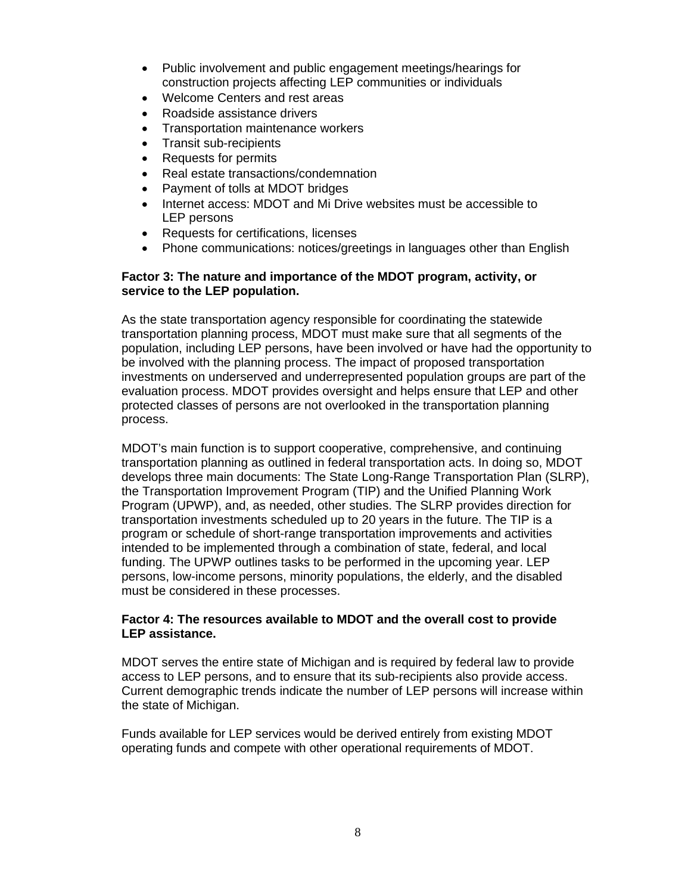- Public involvement and public engagement meetings/hearings for construction projects affecting LEP communities or individuals
- Welcome Centers and rest areas
- Roadside assistance drivers
- Transportation maintenance workers
- Transit sub-recipients
- Requests for permits
- Real estate transactions/condemnation
- Payment of tolls at MDOT bridges
- Internet access: MDOT and Mi Drive websites must be accessible to LEP persons
- Requests for certifications, licenses
- Phone communications: notices/greetings in languages other than English

### **Factor 3: The nature and importance of the MDOT program, activity, or service to the LEP population.**

As the state transportation agency responsible for coordinating the statewide transportation planning process, MDOT must make sure that all segments of the population, including LEP persons, have been involved or have had the opportunity to be involved with the planning process. The impact of proposed transportation investments on underserved and underrepresented population groups are part of the evaluation process. MDOT provides oversight and helps ensure that LEP and other protected classes of persons are not overlooked in the transportation planning process.

MDOT's main function is to support cooperative, comprehensive, and continuing transportation planning as outlined in federal transportation acts. In doing so, MDOT develops three main documents: The State Long-Range Transportation Plan (SLRP), the Transportation Improvement Program (TIP) and the Unified Planning Work Program (UPWP), and, as needed, other studies. The SLRP provides direction for transportation investments scheduled up to 20 years in the future. The TIP is a program or schedule of short-range transportation improvements and activities intended to be implemented through a combination of state, federal, and local funding. The UPWP outlines tasks to be performed in the upcoming year. LEP persons, low-income persons, minority populations, the elderly, and the disabled must be considered in these processes.

### **Factor 4: The resources available to MDOT and the overall cost to provide LEP assistance.**

MDOT serves the entire state of Michigan and is required by federal law to provide access to LEP persons, and to ensure that its sub-recipients also provide access. Current demographic trends indicate the number of LEP persons will increase within the state of Michigan.

Funds available for LEP services would be derived entirely from existing MDOT operating funds and compete with other operational requirements of MDOT.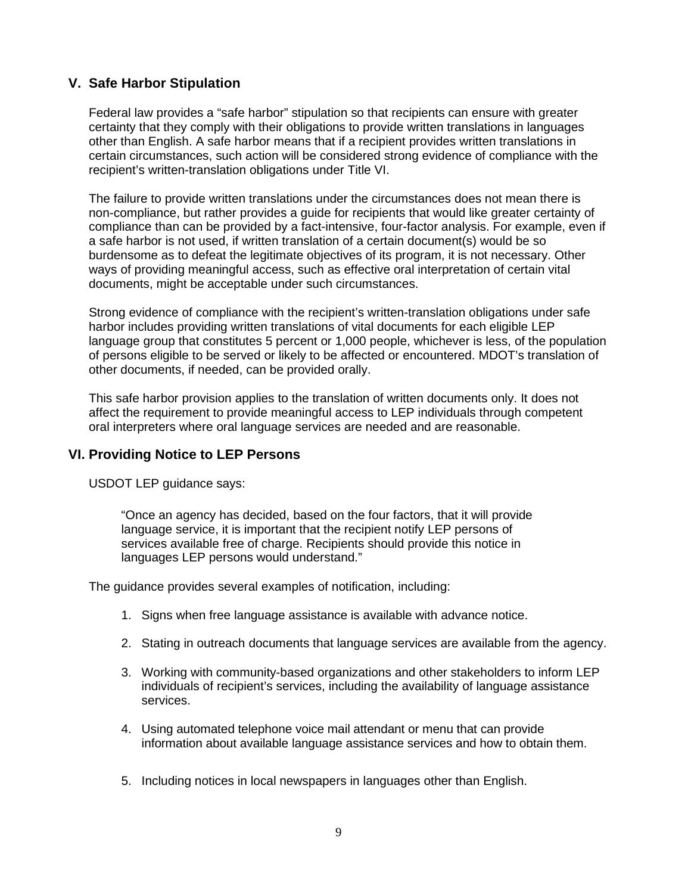### **V. Safe Harbor Stipulation**

Federal law provides a "safe harbor" stipulation so that recipients can ensure with greater certainty that they comply with their obligations to provide written translations in languages other than English. A safe harbor means that if a recipient provides written translations in certain circumstances, such action will be considered strong evidence of compliance with the recipient's written-translation obligations under Title VI.

The failure to provide written translations under the circumstances does not mean there is non-compliance, but rather provides a guide for recipients that would like greater certainty of compliance than can be provided by a fact-intensive, four-factor analysis. For example, even if a safe harbor is not used, if written translation of a certain document(s) would be so burdensome as to defeat the legitimate objectives of its program, it is not necessary. Other ways of providing meaningful access, such as effective oral interpretation of certain vital documents, might be acceptable under such circumstances.

Strong evidence of compliance with the recipient's written-translation obligations under safe harbor includes providing written translations of vital documents for each eligible LEP language group that constitutes 5 percent or 1,000 people, whichever is less, of the population of persons eligible to be served or likely to be affected or encountered. MDOT's translation of other documents, if needed, can be provided orally.

This safe harbor provision applies to the translation of written documents only. It does not affect the requirement to provide meaningful access to LEP individuals through competent oral interpreters where oral language services are needed and are reasonable.

### **VI. Providing Notice to LEP Persons**

USDOT LEP guidance says:

"Once an agency has decided, based on the four factors, that it will provide language service, it is important that the recipient notify LEP persons of services available free of charge. Recipients should provide this notice in languages LEP persons would understand."

The guidance provides several examples of notification, including:

- 1. Signs when free language assistance is available with advance notice.
- 2. Stating in outreach documents that language services are available from the agency.
- 3. Working with community-based organizations and other stakeholders to inform LEP individuals of recipient's services, including the availability of language assistance services.
- 4. Using automated telephone voice mail attendant or menu that can provide information about available language assistance services and how to obtain them.
- 5. Including notices in local newspapers in languages other than English.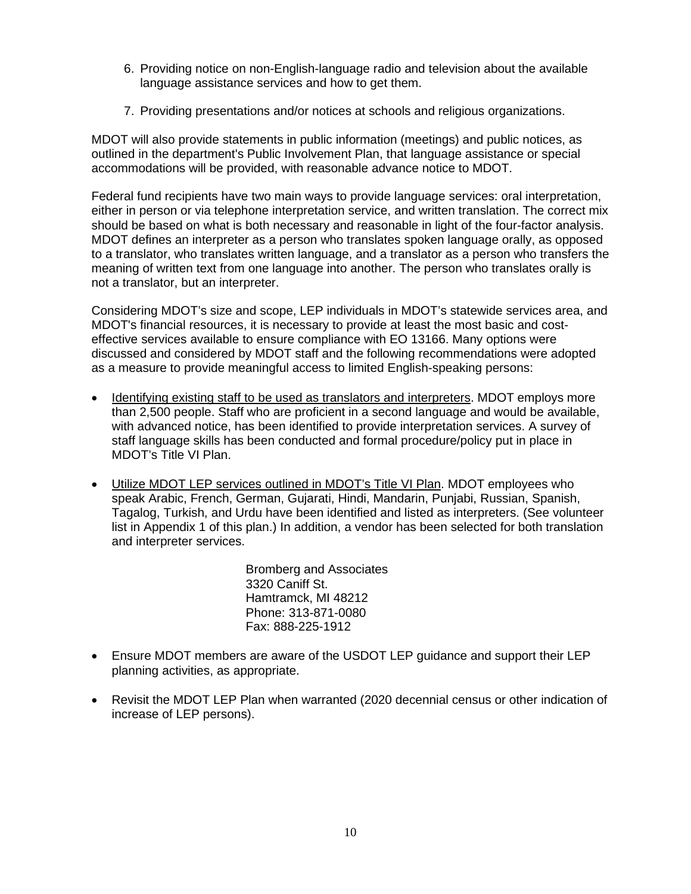- 6. Providing notice on non-English-language radio and television about the available language assistance services and how to get them.
- 7. Providing presentations and/or notices at schools and religious organizations.

MDOT will also provide statements in public information (meetings) and public notices, as outlined in the department's Public Involvement Plan, that language assistance or special accommodations will be provided, with reasonable advance notice to MDOT.

Federal fund recipients have two main ways to provide language services: oral interpretation, either in person or via telephone interpretation service, and written translation. The correct mix should be based on what is both necessary and reasonable in light of the four-factor analysis. MDOT defines an interpreter as a person who translates spoken language orally, as opposed to a translator, who translates written language, and a translator as a person who transfers the meaning of written text from one language into another. The person who translates orally is not a translator, but an interpreter.

Considering MDOT's size and scope, LEP individuals in MDOT's statewide services area, and MDOT's financial resources, it is necessary to provide at least the most basic and costeffective services available to ensure compliance with EO 13166. Many options were discussed and considered by MDOT staff and the following recommendations were adopted as a measure to provide meaningful access to limited English-speaking persons:

- Identifying existing staff to be used as translators and interpreters. MDOT employs more than 2,500 people. Staff who are proficient in a second language and would be available, with advanced notice, has been identified to provide interpretation services. A survey of staff language skills has been conducted and formal procedure/policy put in place in MDOT's Title VI Plan.
- Utilize MDOT LEP services outlined in MDOT's Title VI Plan. MDOT employees who speak Arabic, French, German, Gujarati, Hindi, Mandarin, Punjabi, Russian, Spanish, Tagalog, Turkish, and Urdu have been identified and listed as interpreters. (See volunteer list in Appendix 1 of this plan.) In addition, a vendor has been selected for both translation and interpreter services.

Bromberg and Associates 3320 Caniff St. Hamtramck, MI 48212 Phone: 313-871-0080 Fax: 888-225-1912

- Ensure MDOT members are aware of the USDOT LEP guidance and support their LEP planning activities, as appropriate.
- Revisit the MDOT LEP Plan when warranted (2020 decennial census or other indication of increase of LEP persons).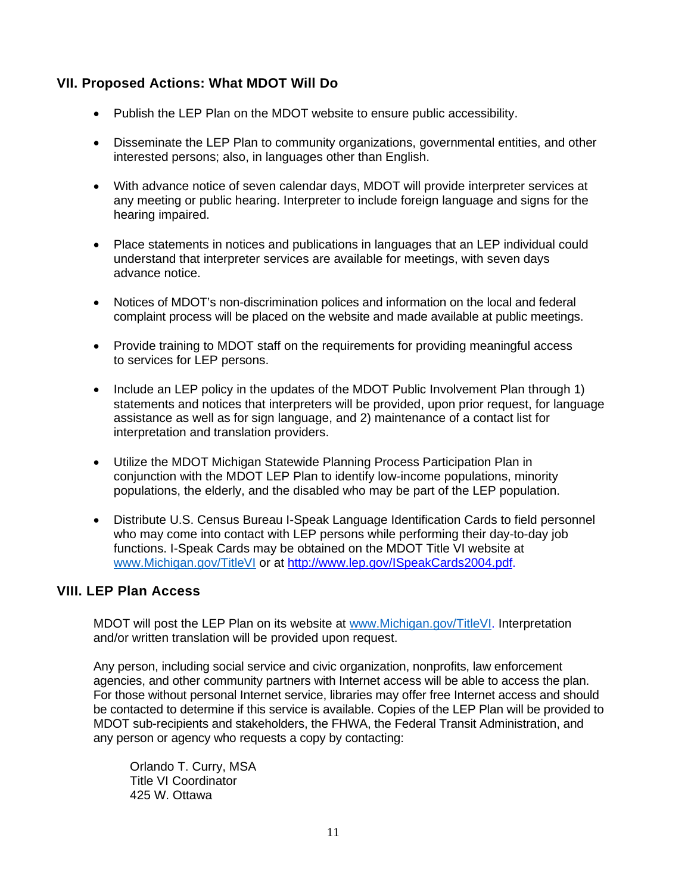### **VII. Proposed Actions: What MDOT Will Do**

- Publish the LEP Plan on the MDOT website to ensure public accessibility.
- Disseminate the LEP Plan to community organizations, governmental entities, and other interested persons; also, in languages other than English.
- With advance notice of seven calendar days, MDOT will provide interpreter services at any meeting or public hearing. Interpreter to include foreign language and signs for the hearing impaired.
- Place statements in notices and publications in languages that an LEP individual could understand that interpreter services are available for meetings, with seven days advance notice.
- Notices of MDOT's non-discrimination polices and information on the local and federal complaint process will be placed on the website and made available at public meetings.
- Provide training to MDOT staff on the requirements for providing meaningful access to services for LEP persons.
- Include an LEP policy in the updates of the MDOT Public Involvement Plan through 1) statements and notices that interpreters will be provided, upon prior request, for language assistance as well as for sign language, and 2) maintenance of a contact list for interpretation and translation providers.
- Utilize the MDOT Michigan Statewide Planning Process Participation Plan in conjunction with the MDOT LEP Plan to identify low-income populations, minority populations, the elderly, and the disabled who may be part of the LEP population.
- Distribute U.S. Census Bureau I-Speak Language Identification Cards to field personnel who may come into contact with LEP persons while performing their day-to-day job functions. I-Speak Cards may be obtained on the MDOT Title VI website at www.Michigan.gov/TitleVI or at http://www.lep.gov/ISpeakCards2004.pdf.

### **VIII. LEP Plan Access**

MDOT will post the LEP Plan on its website at www.Michigan.gov/TitleVI. Interpretation and/or written translation will be provided upon request.

Any person, including social service and civic organization, nonprofits, law enforcement agencies, and other community partners with Internet access will be able to access the plan. For those without personal Internet service, libraries may offer free Internet access and should be contacted to determine if this service is available. Copies of the LEP Plan will be provided to MDOT sub-recipients and stakeholders, the FHWA, the Federal Transit Administration, and any person or agency who requests a copy by contacting:

Orlando T. Curry, MSA Title VI Coordinator 425 W. Ottawa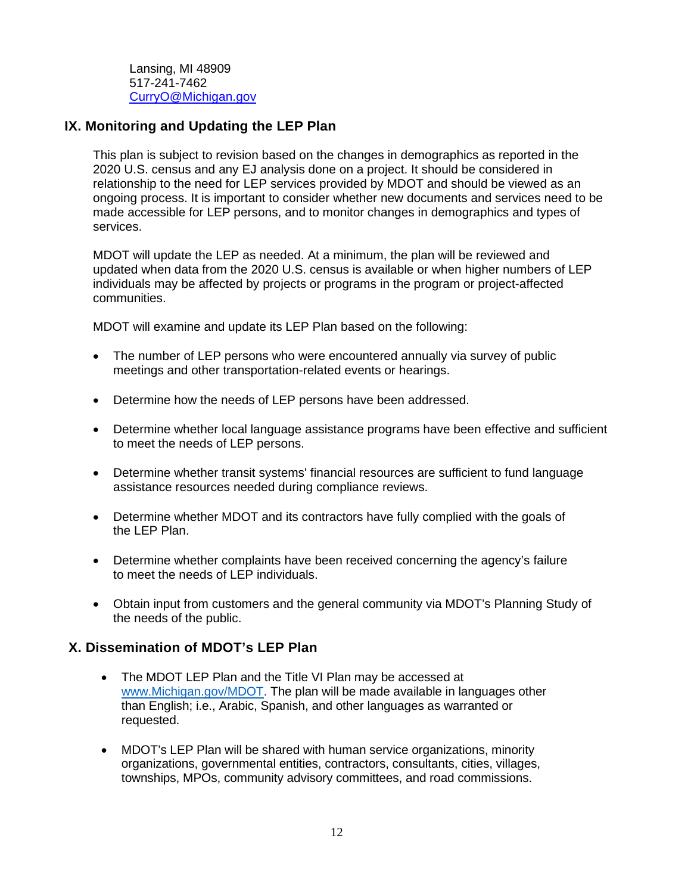Lansing, MI 48909 517-241-7462 CurryO@Michigan.gov

### **IX. Monitoring and Updating the LEP Plan**

This plan is subject to revision based on the changes in demographics as reported in the 2020 U.S. census and any EJ analysis done on a project. It should be considered in relationship to the need for LEP services provided by MDOT and should be viewed as an ongoing process. It is important to consider whether new documents and services need to be made accessible for LEP persons, and to monitor changes in demographics and types of services.

MDOT will update the LEP as needed. At a minimum, the plan will be reviewed and updated when data from the 2020 U.S. census is available or when higher numbers of LEP individuals may be affected by projects or programs in the program or project-affected communities.

MDOT will examine and update its LEP Plan based on the following:

- The number of LEP persons who were encountered annually via survey of public meetings and other transportation-related events or hearings.
- Determine how the needs of LEP persons have been addressed.
- Determine whether local language assistance programs have been effective and sufficient to meet the needs of LEP persons.
- Determine whether transit systems' financial resources are sufficient to fund language assistance resources needed during compliance reviews.
- Determine whether MDOT and its contractors have fully complied with the goals of the LEP Plan.
- Determine whether complaints have been received concerning the agency's failure to meet the needs of LEP individuals.
- Obtain input from customers and the general community via MDOT's Planning Study of the needs of the public.

### **X. Dissemination of MDOT's LEP Plan**

- The MDOT LEP Plan and the Title VI Plan may be accessed at www.Michigan.gov/MDOT. The plan will be made available in languages other than English; i.e., Arabic, Spanish, and other languages as warranted or requested.
- MDOT's LEP Plan will be shared with human service organizations, minority organizations, governmental entities, contractors, consultants, cities, villages, townships, MPOs, community advisory committees, and road commissions.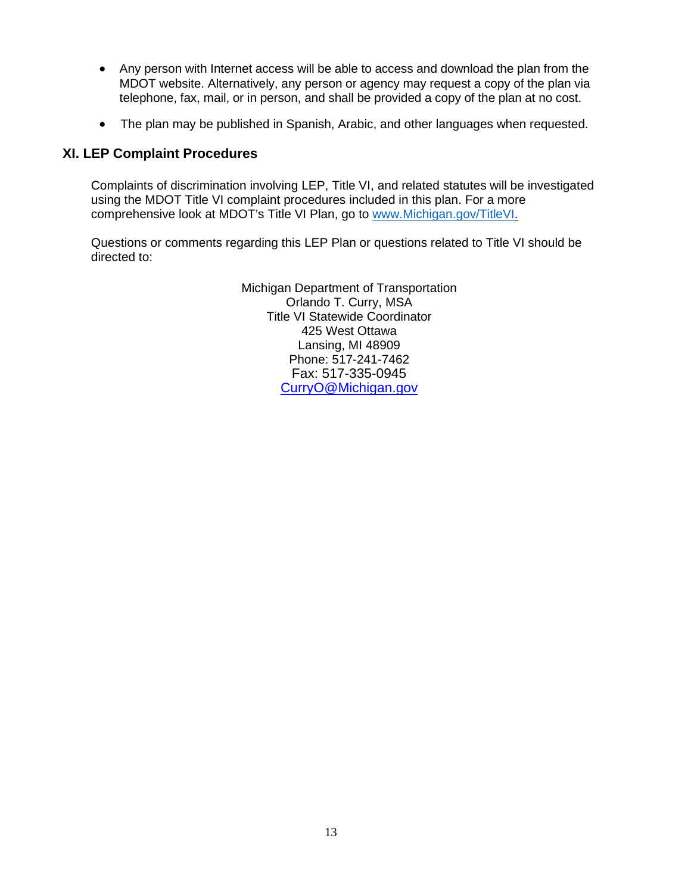- Any person with Internet access will be able to access and download the plan from the MDOT website. Alternatively, any person or agency may request a copy of the plan via telephone, fax, mail, or in person, and shall be provided a copy of the plan at no cost.
- The plan may be published in Spanish, Arabic, and other languages when requested.

### **XI. LEP Complaint Procedures**

Complaints of discrimination involving LEP, Title VI, and related statutes will be investigated using the MDOT Title VI complaint procedures included in this plan. For a more comprehensive look at MDOT's Title VI Plan, go to www.Michigan.gov/TitleVI.

Questions or comments regarding this LEP Plan or questions related to Title VI should be directed to:

> Michigan Department of Transportation Orlando T. Curry, MSA Title VI Statewide Coordinator 425 West Ottawa Lansing, MI 48909 Phone: 517-241-7462 Fax: 517-335-0945 CurryO@Michigan.gov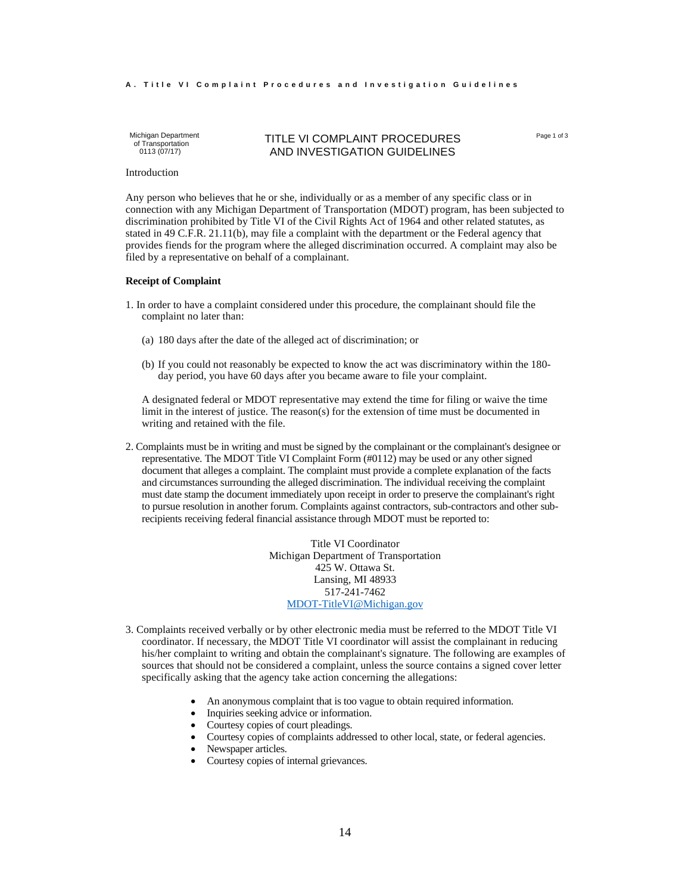#### **A**. Title VI Complaint Procedures and Investigation Guidelines

Michigan Department of Transportation 0113 (07/17)

#### TITLE VI COMPLAINT PROCEDURES AND INVESTIGATION GUIDELINES

Page 1 of 3

Introduction

Any person who believes that he or she, individually or as a member of any specific class or in connection with any Michigan Department of Transportation (MDOT) program, has been subjected to discrimination prohibited by Title VI of the Civil Rights Act of 1964 and other related statutes, as stated in 49 C.F.R. 21.11(b), may file a complaint with the department or the Federal agency that provides fiends for the program where the alleged discrimination occurred. A complaint may also be filed by a representative on behalf of a complainant.

#### **Receipt of Complaint**

- 1. In order to have a complaint considered under this procedure, the complainant should file the complaint no later than:
	- (a) 180 days after the date of the alleged act of discrimination; or
	- (b) If you could not reasonably be expected to know the act was discriminatory within the 180 day period, you have 60 days after you became aware to file your complaint.

A designated federal or MDOT representative may extend the time for filing or waive the time limit in the interest of justice. The reason(s) for the extension of time must be documented in writing and retained with the file.

2. Complaints must be in writing and must be signed by the complainant or the complainant's designee or representative. The MDOT Title VI Complaint Form (#0112) may be used or any other signed document that alleges a complaint. The complaint must provide a complete explanation of the facts and circumstances surrounding the alleged discrimination. The individual receiving the complaint must date stamp the document immediately upon receipt in order to preserve the complainant's right to pursue resolution in another forum. Complaints against contractors, sub-contractors and other subrecipients receiving federal financial assistance through MDOT must be reported to:

> Title VI Coordinator Michigan Department of Transportation 425 W. Ottawa St. Lansing, MI 48933 517-241-7462 MDOT-TitleVI@Michigan.gov

- 3. Complaints received verbally or by other electronic media must be referred to the MDOT Title VI coordinator. If necessary, the MDOT Title VI coordinator will assist the complainant in reducing his/her complaint to writing and obtain the complainant's signature. The following are examples of sources that should not be considered a complaint, unless the source contains a signed cover letter specifically asking that the agency take action concerning the allegations:
	- An anonymous complaint that is too vague to obtain required information.
	- Inquiries seeking advice or information.
	- Courtesy copies of court pleadings.
	- Courtesy copies of complaints addressed to other local, state, or federal agencies.
	- Newspaper articles.
	- Courtesy copies of internal grievances.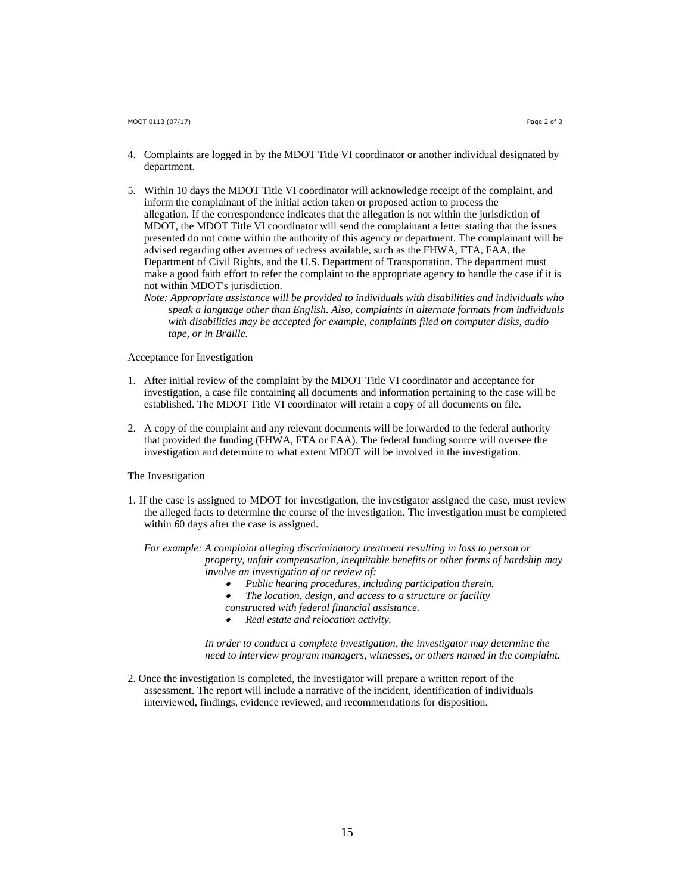- 4. Complaints are logged in by the MDOT Title VI coordinator or another individual designated by department.
- 5. Within 10 days the MDOT Title VI coordinator will acknowledge receipt of the complaint, and inform the complainant of the initial action taken or proposed action to process the allegation. If the correspondence indicates that the allegation is not within the jurisdiction of MDOT, the MDOT Title VI coordinator will send the complainant a letter stating that the issues presented do not come within the authority of this agency or department. The complainant will be advised regarding other avenues of redress available, such as the FHWA, FTA, FAA, the Department of Civil Rights, and the U.S. Department of Transportation. The department must make a good faith effort to refer the complaint to the appropriate agency to handle the case if it is not within MDOT's jurisdiction.
	- *Note: Appropriate assistance will be provided to individuals with disabilities and individuals who speak a language other than English. Also, complaints in alternate formats from individuals with disabilities may be accepted for example, complaints filed on computer disks, audio tape, or in Braille.*

#### Acceptance for Investigation

- 1. After initial review of the complaint by the MDOT Title VI coordinator and acceptance for investigation, a case file containing all documents and information pertaining to the case will be established. The MDOT Title VI coordinator will retain a copy of all documents on file.
- 2. A copy of the complaint and any relevant documents will be forwarded to the federal authority that provided the funding (FHWA, FTA or FAA). The federal funding source will oversee the investigation and determine to what extent MDOT will be involved in the investigation.

#### The Investigation

1. If the case is assigned to MDOT for investigation, the investigator assigned the case, must review the alleged facts to determine the course of the investigation. The investigation must be completed within 60 days after the case is assigned.

*For example: A complaint alleging discriminatory treatment resulting in loss to person or property, unfair compensation, inequitable benefits or other forms of hardship may involve an investigation of or review of:* 

- . *Public hearing procedures, including participation therein.*
- . *The location, design, and access to a structure or facility*
- *constructed with federal financial assistance.*
- . *Real estate and relocation activity.*

*In order to conduct a complete investigation, the investigator may determine the need to interview program managers, witnesses, or others named in the complaint.* 

2. Once the investigation is completed, the investigator will prepare a written report of the assessment. The report will include a narrative of the incident, identification of individuals interviewed, findings, evidence reviewed, and recommendations for disposition.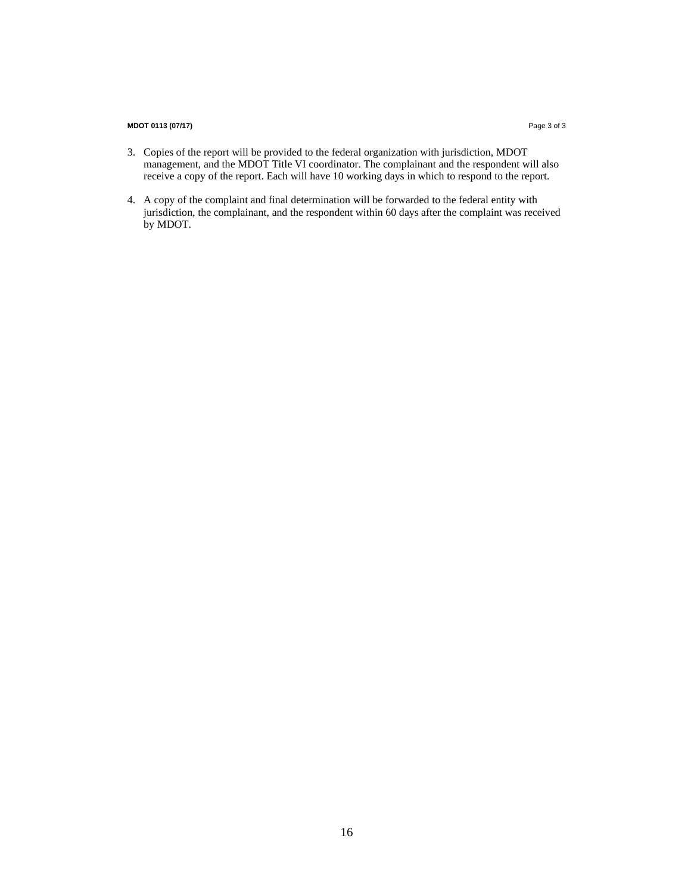#### **MDOT 0113 (07/17)** Page 3 of 3

- 3. Copies of the report will be provided to the federal organization with jurisdiction, MDOT management, and the MDOT Title VI coordinator. The complainant and the respondent will also receive a copy of the report. Each will have 10 working days in which to respond to the report.
- 4. A copy of the complaint and final determination will be forwarded to the federal entity with jurisdiction, the complainant, and the respondent within 60 days after the complaint was received by MDOT.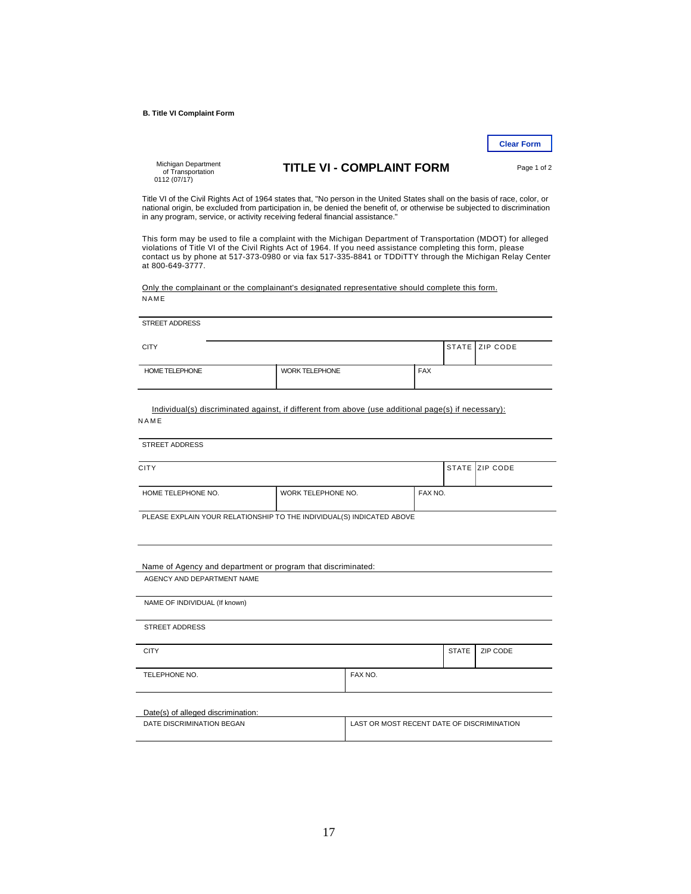**B. Title VI Complaint Form** 

**Clear Form** 

Michigan Department of Transportation 0112 (07/17)

### **TITLE VI - COMPLAINT FORM** Page 1 of 2

Title VI of the Civil Rights Act of 1964 states that, "No person in the United States shall on the basis of race, color, or<br>national origin, be excluded from participation in, be denied the benefit of, or otherwise be subj in any program, service, or activity receiving federal financial assistance."

This form may be used to file a complaint with the Michigan Department of Transportation (MDOT) for alleged violations of Title VI of the Civil Rights Act of 1964. If you need assistance completing this form, please contact us by phone at 517-373-0980 or via fax 517-335-8841 or TDDiTTY through the Michigan Relay Center at 800-649-3777.

Only the complainant or the complainant's designated representative should complete this form. **NAME** 

| <b>CITY</b>                                                                                         |                               |                       |         |            |              | STATE ZIP CODE |
|-----------------------------------------------------------------------------------------------------|-------------------------------|-----------------------|---------|------------|--------------|----------------|
| HOME TELEPHONE                                                                                      |                               | <b>WORK TELEPHONE</b> |         | <b>FAX</b> |              |                |
| Individual(s) discriminated against, if different from above (use additional page(s) if necessary): |                               |                       |         |            |              |                |
| NAME<br><b>STREET ADDRESS</b>                                                                       |                               |                       |         |            |              |                |
|                                                                                                     |                               |                       |         |            |              |                |
| <b>CITY</b>                                                                                         |                               |                       |         |            |              | STATE ZIP CODE |
| HOME TELEPHONE NO.                                                                                  | WORK TELEPHONE NO.<br>FAX NO. |                       |         |            |              |                |
|                                                                                                     |                               |                       |         |            |              |                |
| PLEASE EXPLAIN YOUR RELATIONSHIP TO THE INDIVIDUAL(S) INDICATED ABOVE                               |                               |                       |         |            |              |                |
|                                                                                                     |                               |                       |         |            |              |                |
|                                                                                                     |                               |                       |         |            |              |                |
| Name of Agency and department or program that discriminated:<br>AGENCY AND DEPARTMENT NAME          |                               |                       |         |            |              |                |
| NAME OF INDIVIDUAL (If known)                                                                       |                               |                       |         |            |              |                |
| <b>STREET ADDRESS</b>                                                                               |                               |                       |         |            |              |                |
|                                                                                                     |                               |                       |         |            |              |                |
| <b>CITY</b>                                                                                         |                               |                       |         |            | <b>STATE</b> | ZIP CODE       |
| TELEPHONE NO.                                                                                       |                               |                       | FAX NO. |            |              |                |
| Date(s) of alleged discrimination:                                                                  |                               |                       |         |            |              |                |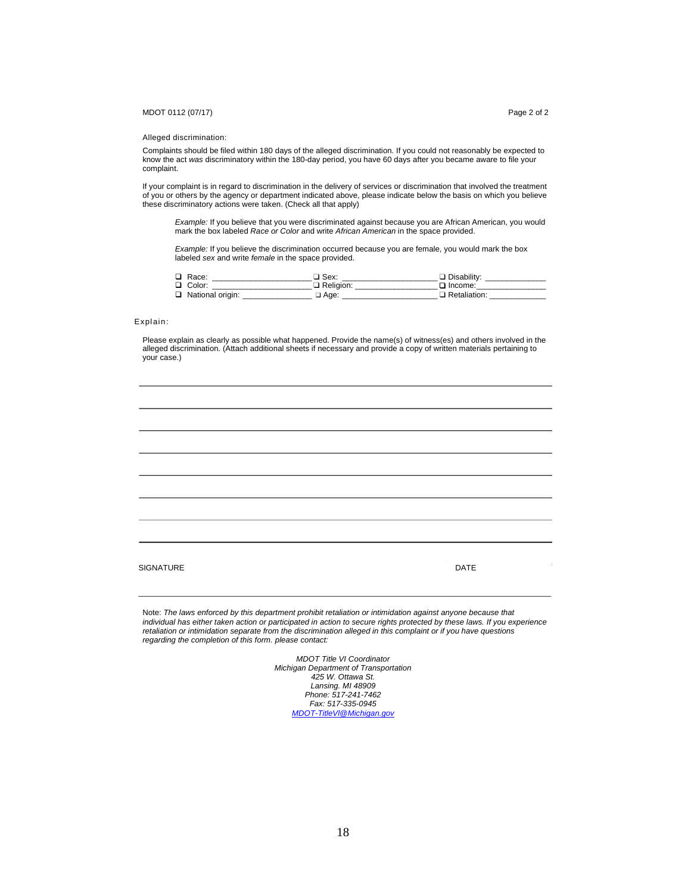#### MDOT 0112 (07/17) Page 2 of 2

#### Alleged discrimination:

Complaints should be filed within 180 days of the alleged discrimination. If you could not reasonably be expected to know the act *was* discriminatory within the 180-day period, you have 60 days after you became aware to file your complaint.

If your complaint is in regard to discrimination in the delivery of services or discrimination that involved the treatment of you or others by the agency or department indicated above, please indicate below the basis on which you believe these discriminatory actions were taken. (Check all that apply)

*Example:* If you believe that you were discriminated against because you are African American, you would mark the box labeled *Race or Color* and write *African American* in the space provided.

*Example:* If you believe the discrimination occurred because you are female, you would mark the box labeled sex and write *female* in the space provided.

| □ Race:            | □ Sex:           | $\Box$ Disability: |
|--------------------|------------------|--------------------|
| $\Box$ Color:      | $\Box$ Religion: | □ Income:          |
| □ National origin: | :Aae ב           | Retaliation:       |

#### Explain:

Please explain as clearly as possible what happened. Provide the name(s) of witness(es) and others involved in the alleged discrimination. (Attach additional sheets if necessary and provide a copy of written materials pertaining to your case.)

| SIGNATURE | <b>DATE</b> |
|-----------|-------------|
|           |             |

Note: *The laws enforced by this department prohibit retaliation or intimidation against anyone because that individual has either taken action or participated in action to secure rights protected by these laws. If you experience retaliation or intimidation separate from the discrimination alleged in this complaint or if you have questions regarding the completion of this form. please contact:*

> *MDOT Title VI Coordinator Michigan Department of Transportation 425 W. Ottawa St. Lansing. MI 48909 Phone: 517-241-7462 Fax: 517-335-0945 MDOT-TitleVl@Michigan.gov*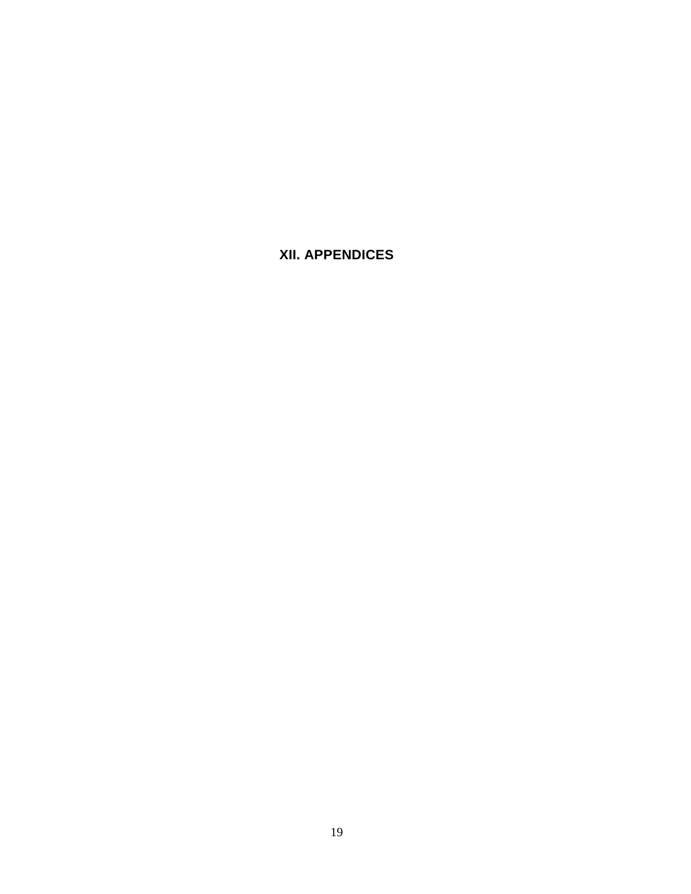**XII. APPENDICES**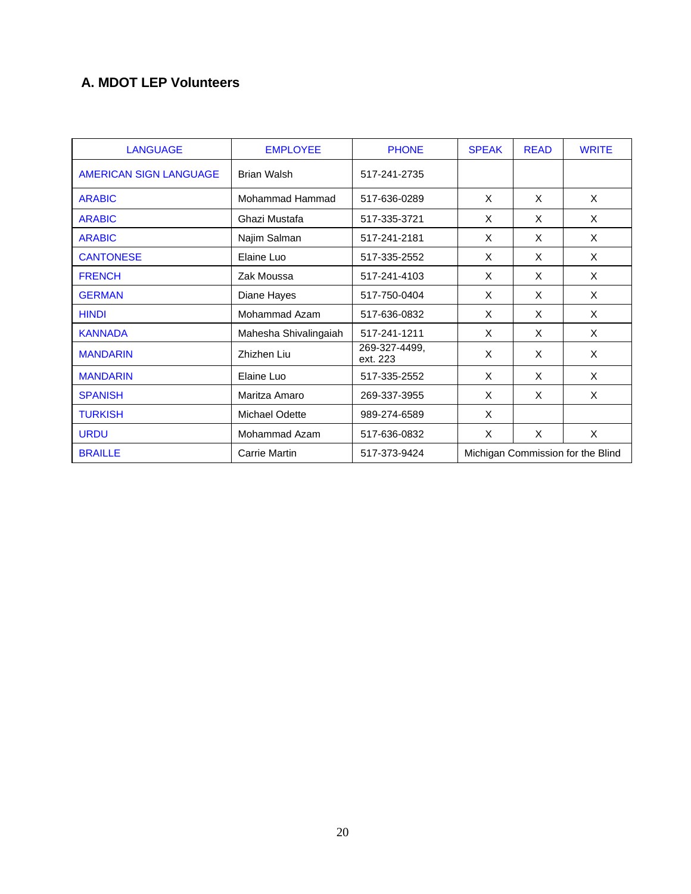### **A. MDOT LEP Volunteers**

| <b>LANGUAGE</b>        | <b>EMPLOYEE</b>       | <b>PHONE</b>              | <b>SPEAK</b> | <b>READ</b>                       | <b>WRITE</b> |
|------------------------|-----------------------|---------------------------|--------------|-----------------------------------|--------------|
| AMERICAN SIGN LANGUAGE | <b>Brian Walsh</b>    | 517-241-2735              |              |                                   |              |
| <b>ARABIC</b>          | Mohammad Hammad       | 517-636-0289              | X            | X                                 | X            |
| <b>ARABIC</b>          | Ghazi Mustafa         | 517-335-3721              | X            | X                                 | X            |
| <b>ARABIC</b>          | Najim Salman          | 517-241-2181              | X            | X                                 | X            |
| <b>CANTONESE</b>       | Elaine Luo            | 517-335-2552              | X            | X                                 | X            |
| <b>FRENCH</b>          | Zak Moussa            | 517-241-4103              | $\times$     | X                                 | X            |
| <b>GERMAN</b>          | Diane Hayes           | 517-750-0404              | X            | X                                 | X            |
| <b>HINDI</b>           | Mohammad Azam         | 517-636-0832              | X            | $\times$                          | X            |
| <b>KANNADA</b>         | Mahesha Shivalingaiah | 517-241-1211              | X            | X                                 | X            |
| <b>MANDARIN</b>        | Zhizhen Liu           | 269-327-4499,<br>ext. 223 | X            | X                                 | X            |
| <b>MANDARIN</b>        | Elaine Luo            | 517-335-2552              | X            | X                                 | X            |
| <b>SPANISH</b>         | Maritza Amaro         | 269-337-3955              | X            | X                                 | X            |
| <b>TURKISH</b>         | Michael Odette        | 989-274-6589              | X            |                                   |              |
| <b>URDU</b>            | Mohammad Azam         | 517-636-0832              | X            | X                                 | X            |
| <b>BRAILLE</b>         | <b>Carrie Martin</b>  | 517-373-9424              |              | Michigan Commission for the Blind |              |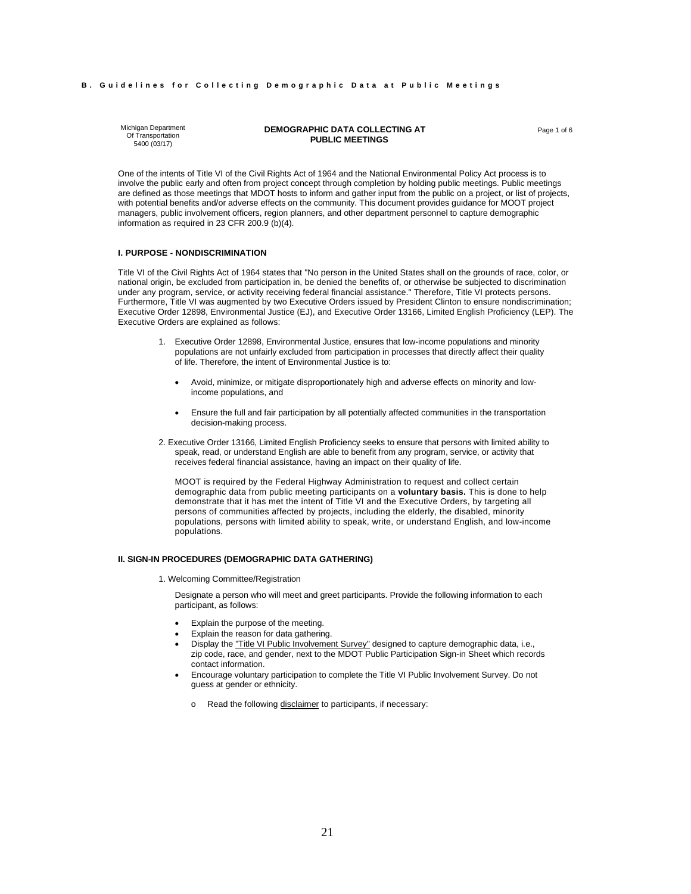#### **B. Guidelines for Collecting Demographic Data at Public Meetings**

Michigan Department Of Transportation 5400 (03/17)

#### **DEMOGRAPHIC DATA COLLECTING AT** Page 1 of 6  **PUBLIC MEETINGS**

One of the intents of Title VI of the Civil Rights Act of 1964 and the National Environmental Policy Act process is to involve the public early and often from project concept through completion by holding public meetings. Public meetings are defined as those meetings that MDOT hosts to inform and gather input from the public on a project, or list of projects, with potential benefits and/or adverse effects on the community. This document provides guidance for MOOT project managers, public involvement officers, region planners, and other department personnel to capture demographic information as required in 23 CFR 200.9 (b)(4).

#### **I. PURPOSE - NONDISCRIMINATION**

Title VI of the Civil Rights Act of 1964 states that "No person in the United States shall on the grounds of race, color, or national origin, be excluded from participation in, be denied the benefits of, or otherwise be subjected to discrimination under any program, service, or activity receiving federal financial assistance." Therefore, Title VI protects persons. Furthermore, Title VI was augmented by two Executive Orders issued by President Clinton to ensure nondiscrimination; Executive Order 12898, Environmental Justice (EJ), and Executive Order 13166, Limited English Proficiency (LEP). The Executive Orders are explained as follows:

- 1. Executive Order 12898, Environmental Justice, ensures that low-income populations and minority populations are not unfairly excluded from participation in processes that directly affect their quality of life. Therefore, the intent of Environmental Justice is to:
	- Avoid, minimize, or mitigate disproportionately high and adverse effects on minority and lowincome populations, and
	- Ensure the full and fair participation by all potentially affected communities in the transportation decision-making process.
- 2. Executive Order 13166, Limited English Proficiency seeks to ensure that persons with limited ability to speak, read, or understand English are able to benefit from any program, service, or activity that receives federal financial assistance, having an impact on their quality of life.

MOOT is required by the Federal Highway Administration to request and collect certain demographic data from public meeting participants on a **voluntary basis.** This is done to help demonstrate that it has met the intent of Title VI and the Executive Orders, by targeting all persons of communities affected by projects, including the elderly, the disabled, minority populations, persons with limited ability to speak, write, or understand English, and low-income populations.

#### **II. SIGN-IN PROCEDURES (DEMOGRAPHIC DATA GATHERING)**

1. Welcoming Committee/Registration

Designate a person who will meet and greet participants. Provide the following information to each participant, as follows:

- Explain the purpose of the meeting.
- Explain the reason for data gathering.
- Display the "Title VI Public Involvement Survey" designed to capture demographic data, i.e., zip code, race, and gender, next to the MDOT Public Participation Sign-in Sheet which records contact information.
- Encourage voluntary participation to complete the Title VI Public Involvement Survey. Do not guess at gender or ethnicity.
	- o Read the following disclaimer to participants, if necessary: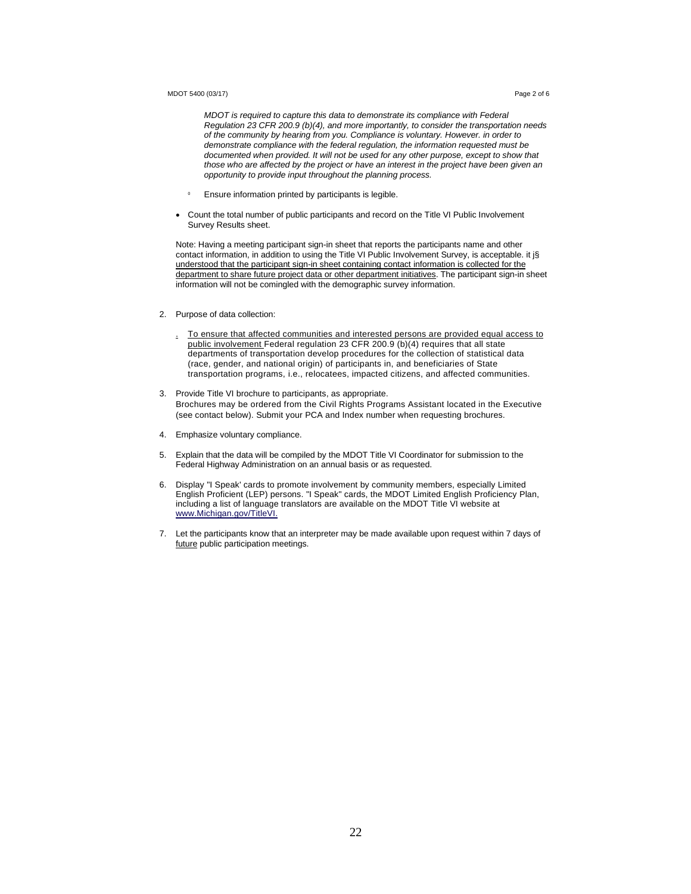#### MDOT 5400 (03/17) Page 2 of 6

*MDOT is required to capture this data to demonstrate its compliance with Federal Regulation 23 CFR 200.9 (b)(4), and more importantly, to consider the transportation needs of the community by hearing from you. Compliance is voluntary. However. in order to demonstrate compliance with the federal regulation, the information requested must be documented when provided. It will not be used for any other purpose, except to show that those who are affected by the project or have an interest in the project have been given an opportunity to provide input throughout the planning process.* 

- $\mathbf 0$ Ensure information printed by participants is legible.
- Count the total number of public participants and record on the Title VI Public Involvement Survey Results sheet.

Note: Having a meeting participant sign-in sheet that reports the participants name and other contact information, in addition to using the Title VI Public Involvement Survey, is acceptable. it is understood that the participant sign-in sheet containing contact information is collected for the department to share future project data or other department initiatives. The participant sign-in sheet information will not be comingled with the demographic survey information.

#### 2. Purpose of data collection:

- . To ensure that affected communities and interested persons are provided equal access to public involvement Federal regulation 23 CFR 200.9 (b)(4) requires that all state departments of transportation develop procedures for the collection of statistical data (race, gender, and national origin) of participants in, and beneficiaries of State transportation programs, i.e., relocatees, impacted citizens, and affected communities.
- 3. Provide Title VI brochure to participants, as appropriate. Brochures may be ordered from the Civil Rights Programs Assistant located in the Executive (see contact below). Submit your PCA and Index number when requesting brochures.
- 4. Emphasize voluntary compliance.
- 5. Explain that the data will be compiled by the MDOT Title VI Coordinator for submission to the Federal Highway Administration on an annual basis or as requested.
- 6. Display "I Speak' cards to promote involvement by community members, especially Limited English Proficient (LEP) persons. "I Speak" cards, the MDOT Limited English Proficiency Plan, including a list of language translators are available on the MDOT Title VI website at www.Michigan.gov/TitleVI.
- 7. Let the participants know that an interpreter may be made available upon request within 7 days of future public participation meetings.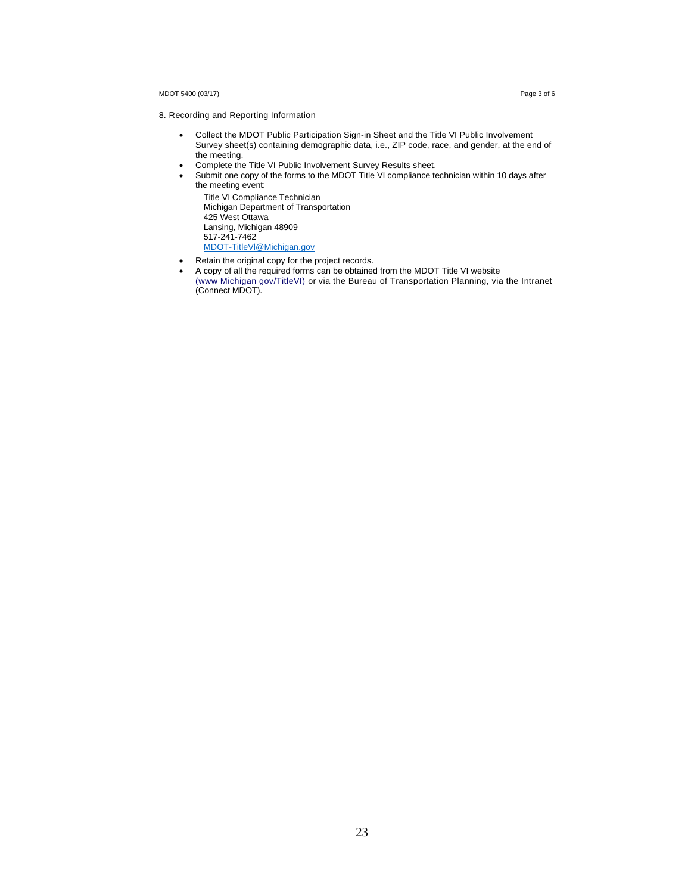#### MDOT 5400 (03/17) Page 3 of 6

- 8. Recording and Reporting Information
	- Collect the MDOT Public Participation Sign-in Sheet and the Title VI Public Involvement Survey sheet(s) containing demographic data, i.e., ZIP code, race, and gender, at the end of the meeting.
	- Complete the Title VI Public Involvement Survey Results sheet.
	- Submit one copy of the forms to the MDOT Title VI compliance technician within 10 days after the meeting event:

Title VI Compliance Technician Michigan Department of Transportation 425 West Ottawa Lansing, Michigan 48909 517-241-7462 MDOT-TitleVl@Michigan.gov

- Retain the original copy for the project records.
- A copy of all the required forms can be obtained from the MDOT Title VI website (www Michigan gov/TitleVI) or via the Bureau of Transportation Planning, via the Intranet (Connect MDOT).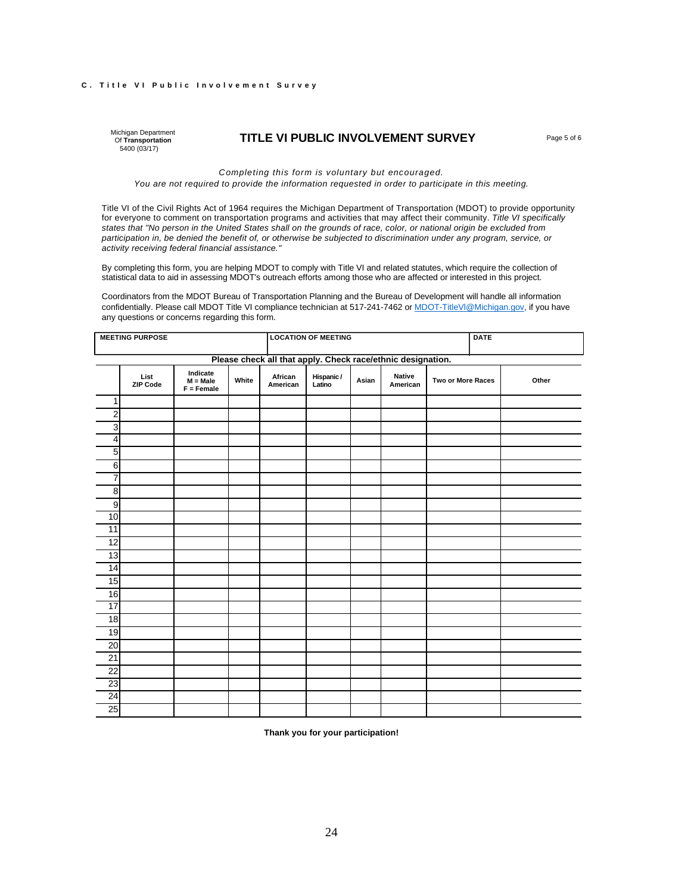### **C. Title VI Public Involvement Survey**

Michigan Department Of **Transportation** 5400 (03/17)

### **TITLE VI PUBLIC INVOLVEMENT SURVEY** Page 5 of 6

*Completing this form is voluntary but encouraged. You are not required to provide the information requested in order to participate in this meeting.* 

Title VI of the Civil Rights Act of 1964 requires the Michigan Department of Transportation (MDOT) to provide opportunity for everyone to comment on transportation programs and activities that may affect their community. *Title VI specifically states that "No person in the United States shall on the grounds of race, color, or national origin be excluded from participation in, be denied the benefit of, or otherwise be subjected to discrimination under any program, service, or activity receiving federal financial assistance."*

By completing this form, you are helping MDOT to comply with Title VI and related statutes, which require the collection of statistical data to aid in assessing MDOT's outreach efforts among those who are affected or interested in this project.

Coordinators from the MDOT Bureau of Transportation Planning and the Bureau of Development will handle all information confidentially. Please call MDOT Title VI compliance technician at 517-241-7462 or MDOT-TitleVl@Michigan.gov, if you have any questions or concerns regarding this form.

| <b>MEETING PURPOSE</b>  |                         |                                        |       |                                                             | <b>LOCATION OF MEETING</b> |       |                    |                   |  | <b>DATE</b> |  |
|-------------------------|-------------------------|----------------------------------------|-------|-------------------------------------------------------------|----------------------------|-------|--------------------|-------------------|--|-------------|--|
|                         |                         |                                        |       | Please check all that apply. Check race/ethnic designation. |                            |       |                    |                   |  |             |  |
|                         | List<br><b>ZIP Code</b> | Indicate<br>$M = Male$<br>$F =$ Female | White | African<br>American                                         | Hispanic /<br>Latino       | Asian | Native<br>American | Two or More Races |  | Other       |  |
| 1                       |                         |                                        |       |                                                             |                            |       |                    |                   |  |             |  |
| 2                       |                         |                                        |       |                                                             |                            |       |                    |                   |  |             |  |
| ω                       |                         |                                        |       |                                                             |                            |       |                    |                   |  |             |  |
| $\overline{\mathbf{4}}$ |                         |                                        |       |                                                             |                            |       |                    |                   |  |             |  |
| 5                       |                         |                                        |       |                                                             |                            |       |                    |                   |  |             |  |
| 6                       |                         |                                        |       |                                                             |                            |       |                    |                   |  |             |  |
| $\overline{7}$          |                         |                                        |       |                                                             |                            |       |                    |                   |  |             |  |
| 8                       |                         |                                        |       |                                                             |                            |       |                    |                   |  |             |  |
| 9                       |                         |                                        |       |                                                             |                            |       |                    |                   |  |             |  |
| 10                      |                         |                                        |       |                                                             |                            |       |                    |                   |  |             |  |
| 11                      |                         |                                        |       |                                                             |                            |       |                    |                   |  |             |  |
| 12                      |                         |                                        |       |                                                             |                            |       |                    |                   |  |             |  |
| 13                      |                         |                                        |       |                                                             |                            |       |                    |                   |  |             |  |
| 14                      |                         |                                        |       |                                                             |                            |       |                    |                   |  |             |  |
| 15                      |                         |                                        |       |                                                             |                            |       |                    |                   |  |             |  |
| 16                      |                         |                                        |       |                                                             |                            |       |                    |                   |  |             |  |
| 17                      |                         |                                        |       |                                                             |                            |       |                    |                   |  |             |  |
| 18                      |                         |                                        |       |                                                             |                            |       |                    |                   |  |             |  |
| 19                      |                         |                                        |       |                                                             |                            |       |                    |                   |  |             |  |
| 20                      |                         |                                        |       |                                                             |                            |       |                    |                   |  |             |  |
| 21                      |                         |                                        |       |                                                             |                            |       |                    |                   |  |             |  |
| 22                      |                         |                                        |       |                                                             |                            |       |                    |                   |  |             |  |
| 23                      |                         |                                        |       |                                                             |                            |       |                    |                   |  |             |  |
| 24                      |                         |                                        |       |                                                             |                            |       |                    |                   |  |             |  |
| 25                      |                         |                                        |       |                                                             |                            |       |                    |                   |  |             |  |

**Thank you for your participation!**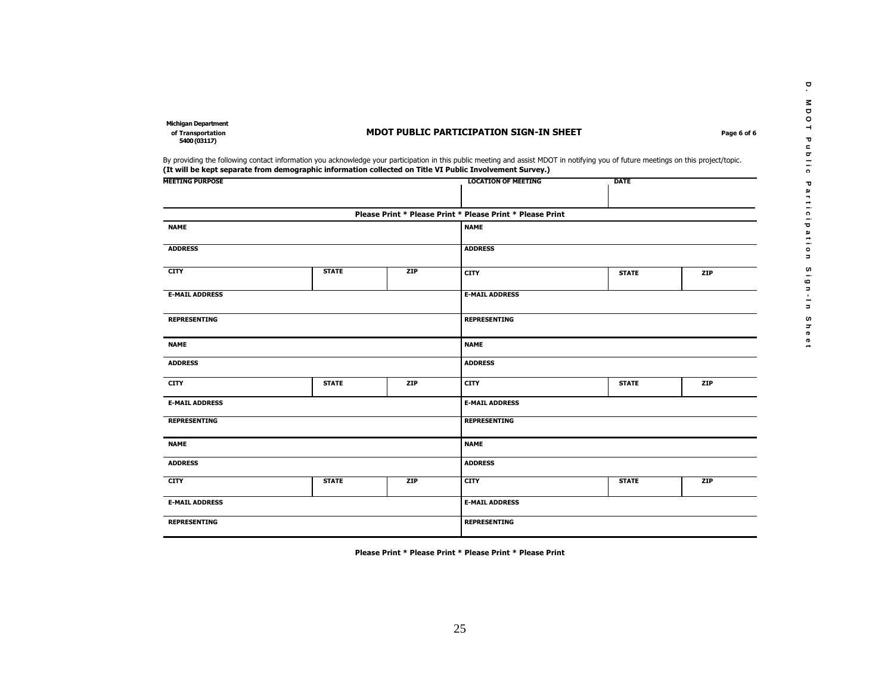**D .**

**M D O T**

**P u b l i c**

**P a r t i c i p a t i o n**

**S i g n - I n**

**S h e e t**

**of Transportation MDOT PUBLIC PARTICIPATION SIGN-IN SHEET Page 6 of 6** 

 **Michigan Department** 

**5400 (03117)** 

By providing the following contact information you acknowledge your participation in this public meeting and assist MDOT in notifying you of future meetings on this project/topic. **(It will be kept separate from demographic information collected on Title VI Public Involvement Survey.)**

| <b>MEETING PURPOSE</b> |              |            | <b>LOCATION OF MEETING</b>                                | <b>DATE</b>         |     |  |  |  |
|------------------------|--------------|------------|-----------------------------------------------------------|---------------------|-----|--|--|--|
|                        |              |            | Please Print * Please Print * Please Print * Please Print |                     |     |  |  |  |
| <b>NAME</b>            |              |            | <b>NAME</b>                                               |                     |     |  |  |  |
| <b>ADDRESS</b>         |              |            | <b>ADDRESS</b>                                            |                     |     |  |  |  |
| <b>CITY</b>            | <b>STATE</b> | ZIP        | <b>CITY</b>                                               | <b>STATE</b>        | ZIP |  |  |  |
| <b>E-MAIL ADDRESS</b>  |              |            | <b>E-MAIL ADDRESS</b>                                     |                     |     |  |  |  |
| <b>REPRESENTING</b>    |              |            | <b>REPRESENTING</b>                                       |                     |     |  |  |  |
| <b>NAME</b>            |              |            | <b>NAME</b>                                               |                     |     |  |  |  |
| <b>ADDRESS</b>         |              |            | <b>ADDRESS</b>                                            |                     |     |  |  |  |
| <b>CITY</b>            | <b>STATE</b> | ZIP        | <b>CITY</b>                                               | <b>STATE</b><br>ZIP |     |  |  |  |
| <b>E-MAIL ADDRESS</b>  |              |            | <b>E-MAIL ADDRESS</b>                                     |                     |     |  |  |  |
| <b>REPRESENTING</b>    |              |            | <b>REPRESENTING</b>                                       |                     |     |  |  |  |
| <b>NAME</b>            |              |            | <b>NAME</b>                                               |                     |     |  |  |  |
| <b>ADDRESS</b>         |              |            | <b>ADDRESS</b>                                            |                     |     |  |  |  |
| <b>CITY</b>            | <b>STATE</b> | <b>ZIP</b> | <b>STATE</b><br><b>ZIP</b><br><b>CITY</b>                 |                     |     |  |  |  |
| <b>E-MAIL ADDRESS</b>  |              |            | <b>E-MAIL ADDRESS</b>                                     |                     |     |  |  |  |
| <b>REPRESENTING</b>    |              |            | <b>REPRESENTING</b>                                       |                     |     |  |  |  |

**Please Print \* Please Print \* Please Print \* Please Print**